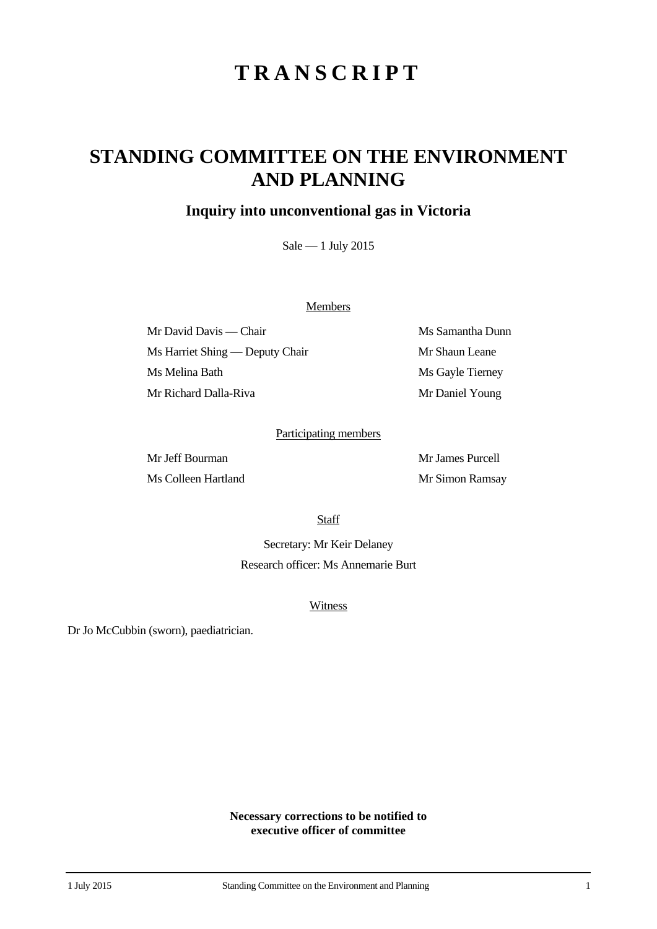# **TRANSCRIPT**

## **STANDING COMMITTEE ON THE ENVIRONMENT AND PLANNING**

### **Inquiry into unconventional gas in Victoria**

Sale — 1 July 2015

#### **Members**

Mr David Davis — Chair Ms Samantha Dunn Ms Harriet Shing — Deputy Chair Mr Shaun Leane Ms Melina Bath Ms Gayle Tierney Mr Richard Dalla-Riva Mr Daniel Young

#### Participating members

Ms Colleen Hartland Mr Simon Ramsay

Mr Jeff Bourman Mr James Purcell

**Staff** 

Secretary: Mr Keir Delaney Research officer: Ms Annemarie Burt

#### **Witness**

Dr Jo McCubbin (sworn), paediatrician.

**Necessary corrections to be notified to executive officer of committee**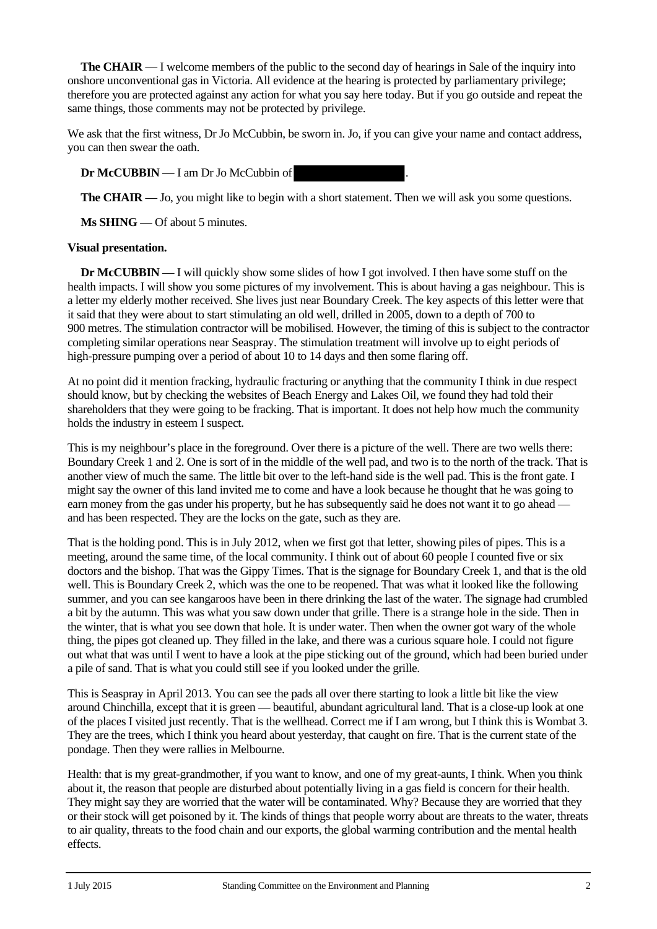**The CHAIR** — I welcome members of the public to the second day of hearings in Sale of the inquiry into onshore unconventional gas in Victoria. All evidence at the hearing is protected by parliamentary privilege; therefore you are protected against any action for what you say here today. But if you go outside and repeat the same things, those comments may not be protected by privilege.

We ask that the first witness, Dr Jo McCubbin, be sworn in. Jo, if you can give your name and contact address, you can then swear the oath.

**Dr McCUBBIN** — I am Dr Jo McCubbin of .

**The CHAIR** — Jo, you might like to begin with a short statement. Then we will ask you some questions.

**Ms SHING** — Of about 5 minutes.

#### **Visual presentation.**

**Dr McCUBBIN** — I will quickly show some slides of how I got involved. I then have some stuff on the health impacts. I will show you some pictures of my involvement. This is about having a gas neighbour. This is a letter my elderly mother received. She lives just near Boundary Creek. The key aspects of this letter were that it said that they were about to start stimulating an old well, drilled in 2005, down to a depth of 700 to 900 metres. The stimulation contractor will be mobilised. However, the timing of this is subject to the contractor completing similar operations near Seaspray. The stimulation treatment will involve up to eight periods of high-pressure pumping over a period of about 10 to 14 days and then some flaring off.

At no point did it mention fracking, hydraulic fracturing or anything that the community I think in due respect should know, but by checking the websites of Beach Energy and Lakes Oil, we found they had told their shareholders that they were going to be fracking. That is important. It does not help how much the community holds the industry in esteem I suspect.

This is my neighbour's place in the foreground. Over there is a picture of the well. There are two wells there: Boundary Creek 1 and 2. One is sort of in the middle of the well pad, and two is to the north of the track. That is another view of much the same. The little bit over to the left-hand side is the well pad. This is the front gate. I might say the owner of this land invited me to come and have a look because he thought that he was going to earn money from the gas under his property, but he has subsequently said he does not want it to go ahead and has been respected. They are the locks on the gate, such as they are.

That is the holding pond. This is in July 2012, when we first got that letter, showing piles of pipes. This is a meeting, around the same time, of the local community. I think out of about 60 people I counted five or six doctors and the bishop. That was the Gippy Times. That is the signage for Boundary Creek 1, and that is the old well. This is Boundary Creek 2, which was the one to be reopened. That was what it looked like the following summer, and you can see kangaroos have been in there drinking the last of the water. The signage had crumbled a bit by the autumn. This was what you saw down under that grille. There is a strange hole in the side. Then in the winter, that is what you see down that hole. It is under water. Then when the owner got wary of the whole thing, the pipes got cleaned up. They filled in the lake, and there was a curious square hole. I could not figure out what that was until I went to have a look at the pipe sticking out of the ground, which had been buried under a pile of sand. That is what you could still see if you looked under the grille.

This is Seaspray in April 2013. You can see the pads all over there starting to look a little bit like the view around Chinchilla, except that it is green — beautiful, abundant agricultural land. That is a close-up look at one of the places I visited just recently. That is the wellhead. Correct me if I am wrong, but I think this is Wombat 3. They are the trees, which I think you heard about yesterday, that caught on fire. That is the current state of the pondage. Then they were rallies in Melbourne.

Health: that is my great-grandmother, if you want to know, and one of my great-aunts, I think. When you think about it, the reason that people are disturbed about potentially living in a gas field is concern for their health. They might say they are worried that the water will be contaminated. Why? Because they are worried that they or their stock will get poisoned by it. The kinds of things that people worry about are threats to the water, threats to air quality, threats to the food chain and our exports, the global warming contribution and the mental health effects.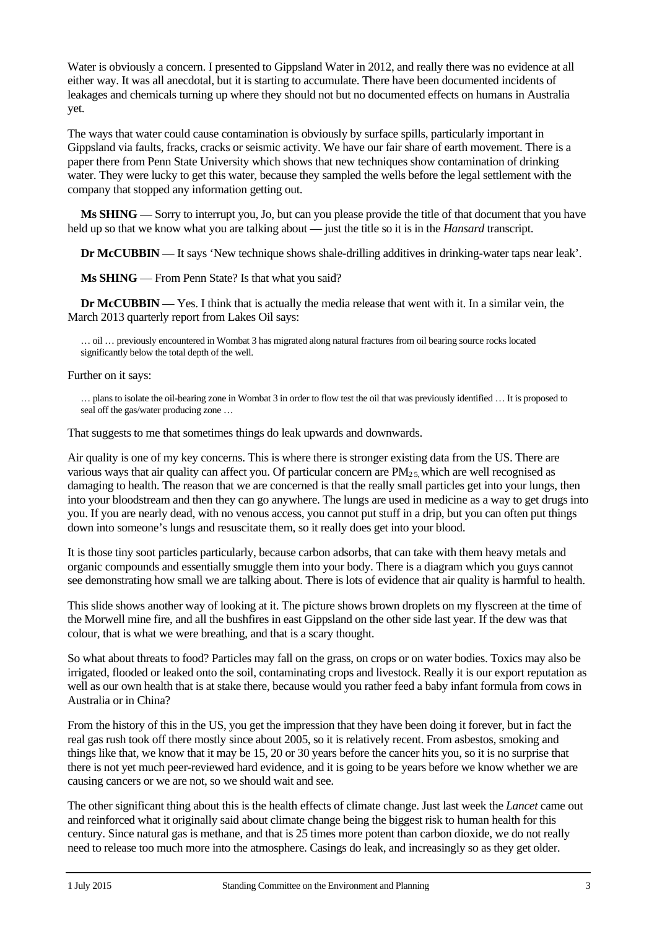Water is obviously a concern. I presented to Gippsland Water in 2012, and really there was no evidence at all either way. It was all anecdotal, but it is starting to accumulate. There have been documented incidents of leakages and chemicals turning up where they should not but no documented effects on humans in Australia yet.

The ways that water could cause contamination is obviously by surface spills, particularly important in Gippsland via faults, fracks, cracks or seismic activity. We have our fair share of earth movement. There is a paper there from Penn State University which shows that new techniques show contamination of drinking water. They were lucky to get this water, because they sampled the wells before the legal settlement with the company that stopped any information getting out.

**Ms SHING** — Sorry to interrupt you, Jo, but can you please provide the title of that document that you have held up so that we know what you are talking about — just the title so it is in the *Hansard* transcript.

**Dr McCUBBIN** — It says 'New technique shows shale-drilling additives in drinking-water taps near leak'.

**Ms SHING** — From Penn State? Is that what you said?

**Dr McCUBBIN** — Yes. I think that is actually the media release that went with it. In a similar vein, the March 2013 quarterly report from Lakes Oil says:

… oil … previously encountered in Wombat 3 has migrated along natural fractures from oil bearing source rocks located significantly below the total depth of the well.

#### Further on it says:

… plans to isolate the oil-bearing zone in Wombat 3 in order to flow test the oil that was previously identified … It is proposed to seal off the gas/water producing zone …

That suggests to me that sometimes things do leak upwards and downwards.

Air quality is one of my key concerns. This is where there is stronger existing data from the US. There are various ways that air quality can affect you. Of particular concern are  $PM_{2.5}$  which are well recognised as damaging to health. The reason that we are concerned is that the really small particles get into your lungs, then into your bloodstream and then they can go anywhere. The lungs are used in medicine as a way to get drugs into you. If you are nearly dead, with no venous access, you cannot put stuff in a drip, but you can often put things down into someone's lungs and resuscitate them, so it really does get into your blood.

It is those tiny soot particles particularly, because carbon adsorbs, that can take with them heavy metals and organic compounds and essentially smuggle them into your body. There is a diagram which you guys cannot see demonstrating how small we are talking about. There is lots of evidence that air quality is harmful to health.

This slide shows another way of looking at it. The picture shows brown droplets on my flyscreen at the time of the Morwell mine fire, and all the bushfires in east Gippsland on the other side last year. If the dew was that colour, that is what we were breathing, and that is a scary thought.

So what about threats to food? Particles may fall on the grass, on crops or on water bodies. Toxics may also be irrigated, flooded or leaked onto the soil, contaminating crops and livestock. Really it is our export reputation as well as our own health that is at stake there, because would you rather feed a baby infant formula from cows in Australia or in China?

From the history of this in the US, you get the impression that they have been doing it forever, but in fact the real gas rush took off there mostly since about 2005, so it is relatively recent. From asbestos, smoking and things like that, we know that it may be 15, 20 or 30 years before the cancer hits you, so it is no surprise that there is not yet much peer-reviewed hard evidence, and it is going to be years before we know whether we are causing cancers or we are not, so we should wait and see.

The other significant thing about this is the health effects of climate change. Just last week the *Lancet* came out and reinforced what it originally said about climate change being the biggest risk to human health for this century. Since natural gas is methane, and that is 25 times more potent than carbon dioxide, we do not really need to release too much more into the atmosphere. Casings do leak, and increasingly so as they get older.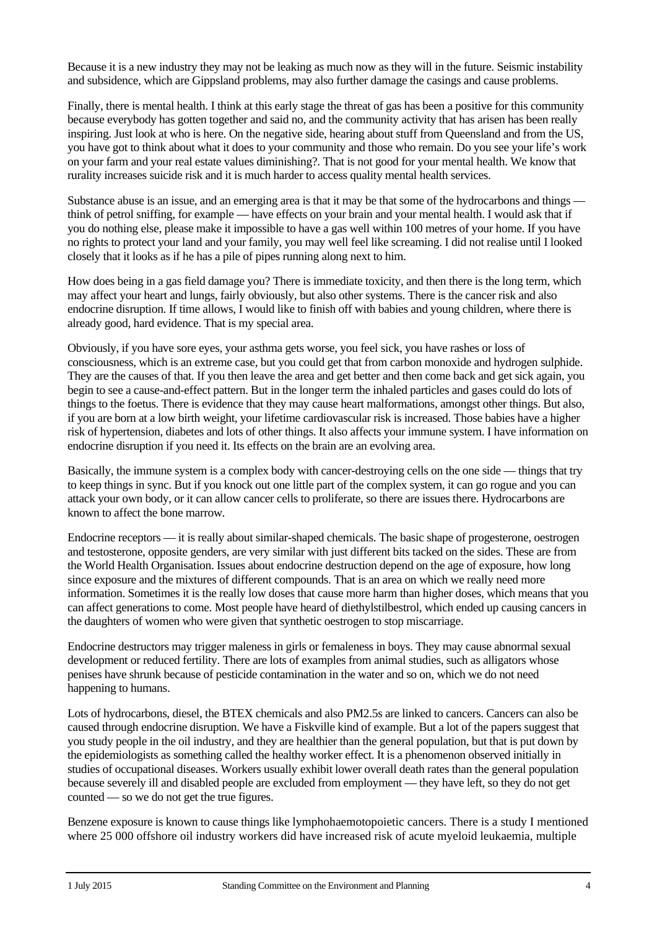Because it is a new industry they may not be leaking as much now as they will in the future. Seismic instability and subsidence, which are Gippsland problems, may also further damage the casings and cause problems.

Finally, there is mental health. I think at this early stage the threat of gas has been a positive for this community because everybody has gotten together and said no, and the community activity that has arisen has been really inspiring. Just look at who is here. On the negative side, hearing about stuff from Queensland and from the US, you have got to think about what it does to your community and those who remain. Do you see your life's work on your farm and your real estate values diminishing?. That is not good for your mental health. We know that rurality increases suicide risk and it is much harder to access quality mental health services.

Substance abuse is an issue, and an emerging area is that it may be that some of the hydrocarbons and things think of petrol sniffing, for example — have effects on your brain and your mental health. I would ask that if you do nothing else, please make it impossible to have a gas well within 100 metres of your home. If you have no rights to protect your land and your family, you may well feel like screaming. I did not realise until I looked closely that it looks as if he has a pile of pipes running along next to him.

How does being in a gas field damage you? There is immediate toxicity, and then there is the long term, which may affect your heart and lungs, fairly obviously, but also other systems. There is the cancer risk and also endocrine disruption. If time allows, I would like to finish off with babies and young children, where there is already good, hard evidence. That is my special area.

Obviously, if you have sore eyes, your asthma gets worse, you feel sick, you have rashes or loss of consciousness, which is an extreme case, but you could get that from carbon monoxide and hydrogen sulphide. They are the causes of that. If you then leave the area and get better and then come back and get sick again, you begin to see a cause-and-effect pattern. But in the longer term the inhaled particles and gases could do lots of things to the foetus. There is evidence that they may cause heart malformations, amongst other things. But also, if you are born at a low birth weight, your lifetime cardiovascular risk is increased. Those babies have a higher risk of hypertension, diabetes and lots of other things. It also affects your immune system. I have information on endocrine disruption if you need it. Its effects on the brain are an evolving area.

Basically, the immune system is a complex body with cancer-destroying cells on the one side — things that try to keep things in sync. But if you knock out one little part of the complex system, it can go rogue and you can attack your own body, or it can allow cancer cells to proliferate, so there are issues there. Hydrocarbons are known to affect the bone marrow.

Endocrine receptors — it is really about similar-shaped chemicals. The basic shape of progesterone, oestrogen and testosterone, opposite genders, are very similar with just different bits tacked on the sides. These are from the World Health Organisation. Issues about endocrine destruction depend on the age of exposure, how long since exposure and the mixtures of different compounds. That is an area on which we really need more information. Sometimes it is the really low doses that cause more harm than higher doses, which means that you can affect generations to come. Most people have heard of diethylstilbestrol, which ended up causing cancers in the daughters of women who were given that synthetic oestrogen to stop miscarriage.

Endocrine destructors may trigger maleness in girls or femaleness in boys. They may cause abnormal sexual development or reduced fertility. There are lots of examples from animal studies, such as alligators whose penises have shrunk because of pesticide contamination in the water and so on, which we do not need happening to humans.

Lots of hydrocarbons, diesel, the BTEX chemicals and also PM2.5s are linked to cancers. Cancers can also be caused through endocrine disruption. We have a Fiskville kind of example. But a lot of the papers suggest that you study people in the oil industry, and they are healthier than the general population, but that is put down by the epidemiologists as something called the healthy worker effect. It is a phenomenon observed initially in studies of occupational diseases. Workers usually exhibit lower overall death rates than the general population because severely ill and disabled people are excluded from employment — they have left, so they do not get counted — so we do not get the true figures.

Benzene exposure is known to cause things like lymphohaemotopoietic cancers. There is a study I mentioned where 25 000 offshore oil industry workers did have increased risk of acute myeloid leukaemia, multiple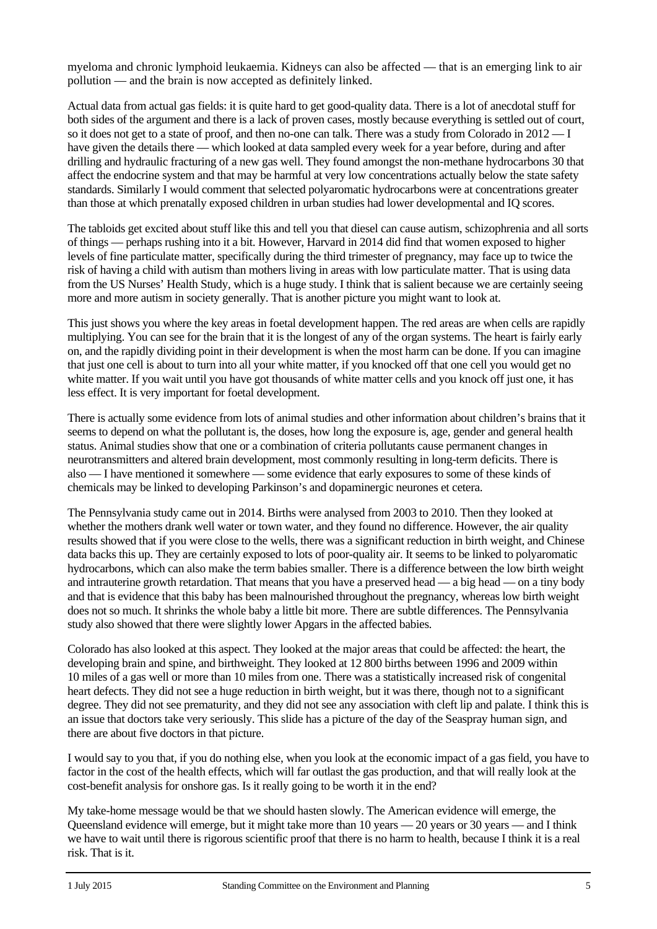myeloma and chronic lymphoid leukaemia. Kidneys can also be affected — that is an emerging link to air pollution — and the brain is now accepted as definitely linked.

Actual data from actual gas fields: it is quite hard to get good-quality data. There is a lot of anecdotal stuff for both sides of the argument and there is a lack of proven cases, mostly because everything is settled out of court, so it does not get to a state of proof, and then no-one can talk. There was a study from Colorado in 2012 — I have given the details there — which looked at data sampled every week for a year before, during and after drilling and hydraulic fracturing of a new gas well. They found amongst the non-methane hydrocarbons 30 that affect the endocrine system and that may be harmful at very low concentrations actually below the state safety standards. Similarly I would comment that selected polyaromatic hydrocarbons were at concentrations greater than those at which prenatally exposed children in urban studies had lower developmental and IQ scores.

The tabloids get excited about stuff like this and tell you that diesel can cause autism, schizophrenia and all sorts of things — perhaps rushing into it a bit. However, Harvard in 2014 did find that women exposed to higher levels of fine particulate matter, specifically during the third trimester of pregnancy, may face up to twice the risk of having a child with autism than mothers living in areas with low particulate matter. That is using data from the US Nurses' Health Study, which is a huge study. I think that is salient because we are certainly seeing more and more autism in society generally. That is another picture you might want to look at.

This just shows you where the key areas in foetal development happen. The red areas are when cells are rapidly multiplying. You can see for the brain that it is the longest of any of the organ systems. The heart is fairly early on, and the rapidly dividing point in their development is when the most harm can be done. If you can imagine that just one cell is about to turn into all your white matter, if you knocked off that one cell you would get no white matter. If you wait until you have got thousands of white matter cells and you knock off just one, it has less effect. It is very important for foetal development.

There is actually some evidence from lots of animal studies and other information about children's brains that it seems to depend on what the pollutant is, the doses, how long the exposure is, age, gender and general health status. Animal studies show that one or a combination of criteria pollutants cause permanent changes in neurotransmitters and altered brain development, most commonly resulting in long-term deficits. There is also — I have mentioned it somewhere — some evidence that early exposures to some of these kinds of chemicals may be linked to developing Parkinson's and dopaminergic neurones et cetera.

The Pennsylvania study came out in 2014. Births were analysed from 2003 to 2010. Then they looked at whether the mothers drank well water or town water, and they found no difference. However, the air quality results showed that if you were close to the wells, there was a significant reduction in birth weight, and Chinese data backs this up. They are certainly exposed to lots of poor-quality air. It seems to be linked to polyaromatic hydrocarbons, which can also make the term babies smaller. There is a difference between the low birth weight and intrauterine growth retardation. That means that you have a preserved head — a big head — on a tiny body and that is evidence that this baby has been malnourished throughout the pregnancy, whereas low birth weight does not so much. It shrinks the whole baby a little bit more. There are subtle differences. The Pennsylvania study also showed that there were slightly lower Apgars in the affected babies.

Colorado has also looked at this aspect. They looked at the major areas that could be affected: the heart, the developing brain and spine, and birthweight. They looked at 12 800 births between 1996 and 2009 within 10 miles of a gas well or more than 10 miles from one. There was a statistically increased risk of congenital heart defects. They did not see a huge reduction in birth weight, but it was there, though not to a significant degree. They did not see prematurity, and they did not see any association with cleft lip and palate. I think this is an issue that doctors take very seriously. This slide has a picture of the day of the Seaspray human sign, and there are about five doctors in that picture.

I would say to you that, if you do nothing else, when you look at the economic impact of a gas field, you have to factor in the cost of the health effects, which will far outlast the gas production, and that will really look at the cost-benefit analysis for onshore gas. Is it really going to be worth it in the end?

My take-home message would be that we should hasten slowly. The American evidence will emerge, the Queensland evidence will emerge, but it might take more than 10 years — 20 years or 30 years — and I think we have to wait until there is rigorous scientific proof that there is no harm to health, because I think it is a real risk. That is it.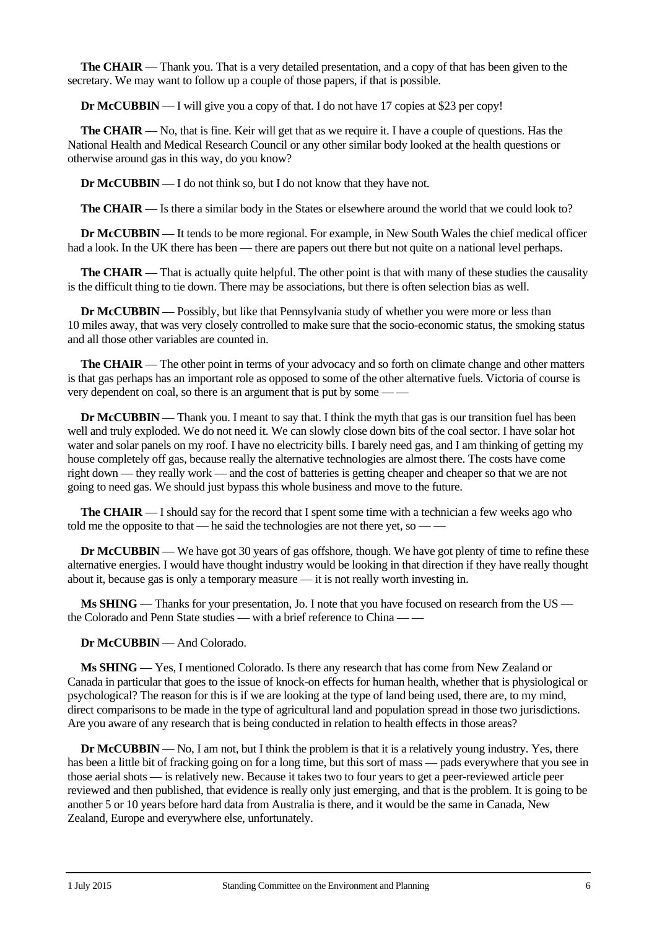**The CHAIR** — Thank you. That is a very detailed presentation, and a copy of that has been given to the secretary. We may want to follow up a couple of those papers, if that is possible.

**Dr McCUBBIN** — I will give you a copy of that. I do not have 17 copies at \$23 per copy!

**The CHAIR** — No, that is fine. Keir will get that as we require it. I have a couple of questions. Has the National Health and Medical Research Council or any other similar body looked at the health questions or otherwise around gas in this way, do you know?

**Dr McCUBBIN** — I do not think so, but I do not know that they have not.

**The CHAIR** — Is there a similar body in the States or elsewhere around the world that we could look to?

**Dr McCUBBIN** — It tends to be more regional. For example, in New South Wales the chief medical officer had a look. In the UK there has been — there are papers out there but not quite on a national level perhaps.

**The CHAIR** — That is actually quite helpful. The other point is that with many of these studies the causality is the difficult thing to tie down. There may be associations, but there is often selection bias as well.

**Dr McCUBBIN** — Possibly, but like that Pennsylvania study of whether you were more or less than 10 miles away, that was very closely controlled to make sure that the socio-economic status, the smoking status and all those other variables are counted in.

**The CHAIR** — The other point in terms of your advocacy and so forth on climate change and other matters is that gas perhaps has an important role as opposed to some of the other alternative fuels. Victoria of course is very dependent on coal, so there is an argument that is put by some — —

**Dr McCUBBIN** — Thank you. I meant to say that. I think the myth that gas is our transition fuel has been well and truly exploded. We do not need it. We can slowly close down bits of the coal sector. I have solar hot water and solar panels on my roof. I have no electricity bills. I barely need gas, and I am thinking of getting my house completely off gas, because really the alternative technologies are almost there. The costs have come right down — they really work — and the cost of batteries is getting cheaper and cheaper so that we are not going to need gas. We should just bypass this whole business and move to the future.

**The CHAIR** — I should say for the record that I spent some time with a technician a few weeks ago who told me the opposite to that — he said the technologies are not there yet, so — —

**Dr McCUBBIN** — We have got 30 years of gas offshore, though. We have got plenty of time to refine these alternative energies. I would have thought industry would be looking in that direction if they have really thought about it, because gas is only a temporary measure — it is not really worth investing in.

**Ms SHING** — Thanks for your presentation, Jo. I note that you have focused on research from the US the Colorado and Penn State studies — with a brief reference to China — —

**Dr McCUBBIN** — And Colorado.

**Ms SHING** — Yes, I mentioned Colorado. Is there any research that has come from New Zealand or Canada in particular that goes to the issue of knock-on effects for human health, whether that is physiological or psychological? The reason for this is if we are looking at the type of land being used, there are, to my mind, direct comparisons to be made in the type of agricultural land and population spread in those two jurisdictions. Are you aware of any research that is being conducted in relation to health effects in those areas?

**Dr McCUBBIN** — No, I am not, but I think the problem is that it is a relatively young industry. Yes, there has been a little bit of fracking going on for a long time, but this sort of mass — pads everywhere that you see in those aerial shots — is relatively new. Because it takes two to four years to get a peer-reviewed article peer reviewed and then published, that evidence is really only just emerging, and that is the problem. It is going to be another 5 or 10 years before hard data from Australia is there, and it would be the same in Canada, New Zealand, Europe and everywhere else, unfortunately.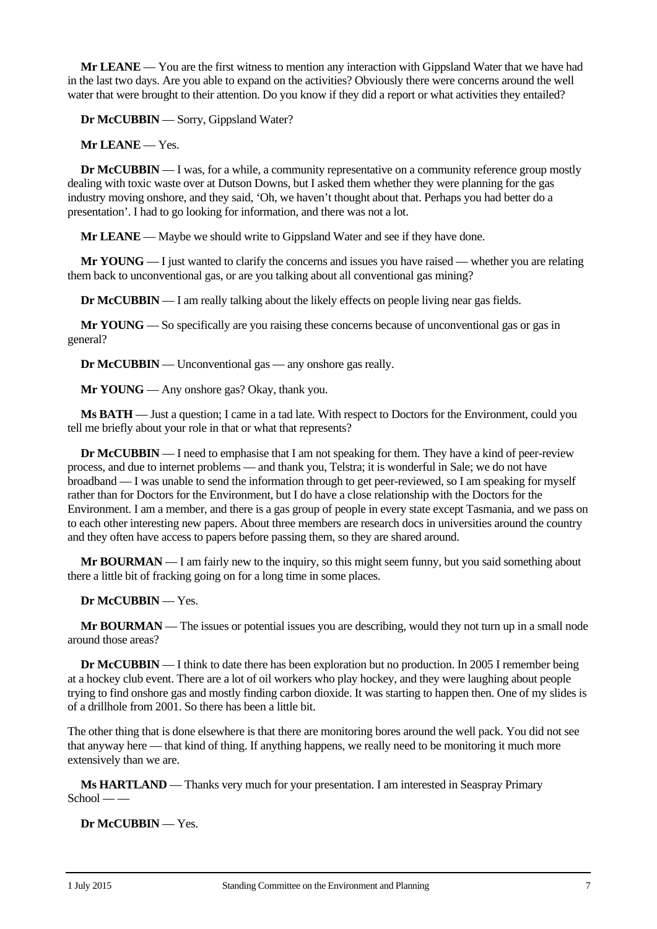**Mr LEANE** — You are the first witness to mention any interaction with Gippsland Water that we have had in the last two days. Are you able to expand on the activities? Obviously there were concerns around the well water that were brought to their attention. Do you know if they did a report or what activities they entailed?

**Dr McCUBBIN** — Sorry, Gippsland Water?

**Mr LEANE** — Yes.

**Dr McCUBBIN** — I was, for a while, a community representative on a community reference group mostly dealing with toxic waste over at Dutson Downs, but I asked them whether they were planning for the gas industry moving onshore, and they said, 'Oh, we haven't thought about that. Perhaps you had better do a presentation'. I had to go looking for information, and there was not a lot.

**Mr LEANE** — Maybe we should write to Gippsland Water and see if they have done.

**Mr YOUNG** — I just wanted to clarify the concerns and issues you have raised — whether you are relating them back to unconventional gas, or are you talking about all conventional gas mining?

**Dr McCUBBIN** — I am really talking about the likely effects on people living near gas fields.

**Mr YOUNG** — So specifically are you raising these concerns because of unconventional gas or gas in general?

**Dr McCUBBIN** — Unconventional gas — any onshore gas really.

**Mr YOUNG** — Any onshore gas? Okay, thank you.

**Ms BATH** — Just a question; I came in a tad late. With respect to Doctors for the Environment, could you tell me briefly about your role in that or what that represents?

**Dr McCUBBIN** — I need to emphasise that I am not speaking for them. They have a kind of peer-review process, and due to internet problems — and thank you, Telstra; it is wonderful in Sale; we do not have broadband — I was unable to send the information through to get peer-reviewed, so I am speaking for myself rather than for Doctors for the Environment, but I do have a close relationship with the Doctors for the Environment. I am a member, and there is a gas group of people in every state except Tasmania, and we pass on to each other interesting new papers. About three members are research docs in universities around the country and they often have access to papers before passing them, so they are shared around.

**Mr BOURMAN** — I am fairly new to the inquiry, so this might seem funny, but you said something about there a little bit of fracking going on for a long time in some places.

**Dr McCUBBIN** — Yes.

**Mr BOURMAN** — The issues or potential issues you are describing, would they not turn up in a small node around those areas?

**Dr McCUBBIN** — I think to date there has been exploration but no production. In 2005 I remember being at a hockey club event. There are a lot of oil workers who play hockey, and they were laughing about people trying to find onshore gas and mostly finding carbon dioxide. It was starting to happen then. One of my slides is of a drillhole from 2001. So there has been a little bit.

The other thing that is done elsewhere is that there are monitoring bores around the well pack. You did not see that anyway here — that kind of thing. If anything happens, we really need to be monitoring it much more extensively than we are.

**Ms HARTLAND** — Thanks very much for your presentation. I am interested in Seaspray Primary  $School — -$ 

**Dr McCUBBIN** — Yes.